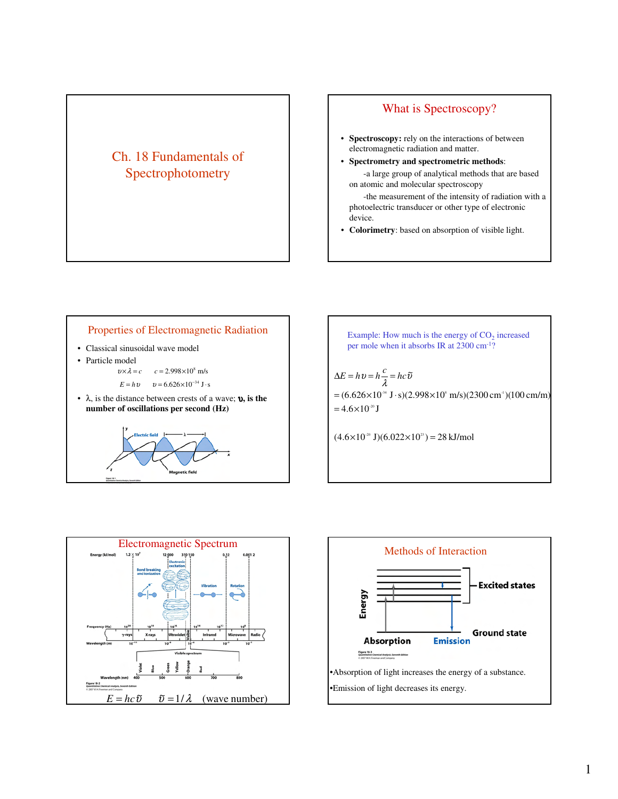## Ch. 18 Fundamentals of Spectrophotometry

## What is Spectroscopy?

- **Spectroscopy:** rely on the interactions of between electromagnetic radiation and matter.
- **Spectrometry and spectrometric methods**: -a large group of analytical methods that are based on atomic and molecular spectroscopy

-the measurement of the intensity of radiation with a photoelectric transducer or other type of electronic device.

• **Colorimetry**: based on absorption of visible light.



Example: How much is the energy of  $CO<sub>2</sub>$  increased per mole when it absorbs IR at 2300 cm-1?  $(4.6\times10^{20} \text{ J})(6.022\times10^{23}) = 28 \text{ kJ/mol}$  $=4.6\times10^{-20}$  J  $= (6.626 \times 10^{34} \text{ J} \cdot \text{s})(2.998 \times 10^{8} \text{ m/s})(2300 \text{ cm}^3)(100 \text{ cm/m})$  $\Delta E = h v = h \frac{c}{\lambda} = h c \tilde{v}$ 



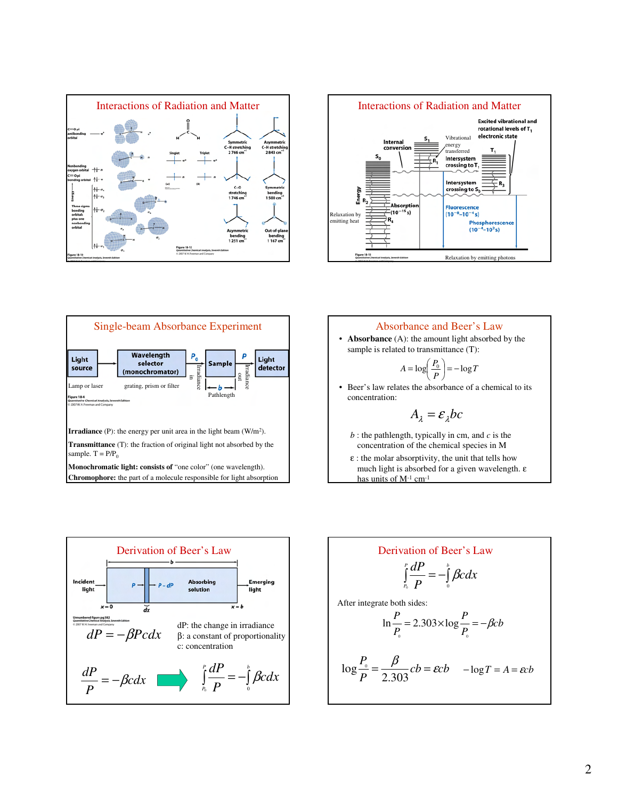







much light is absorbed for a given wavelength. ε has units of  $M^{-1}$  cm<sup>-1</sup>



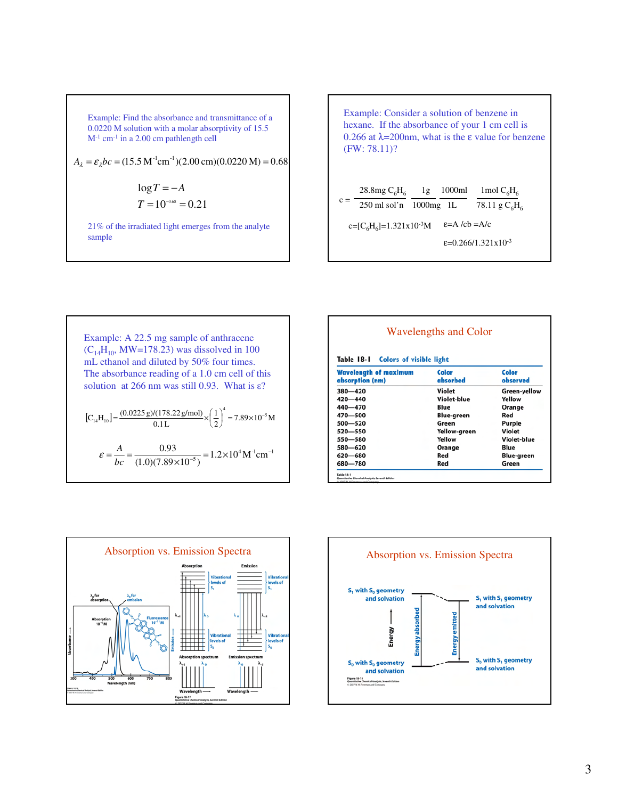Example: Find the absorbance and transmittance of a 0.0220 M solution with a molar absorptivity of 15.5  $M<sup>-1</sup>$  cm<sup>-1</sup> in a 2.00 cm pathlength cell

$$
A_{\lambda} = \varepsilon_{\lambda}bc = (15.5 \text{ M}^{-1} \text{cm}^{-1})(2.00 \text{ cm})(0.0220 \text{ M}) = 0.68
$$

$$
log T = -A
$$

$$
T = 10-0.68 = 0.21
$$

21% of the irradiated light emerges from the analyte sample



Example: A 22.5 mg sample of anthracene  $(C_{14}H_{10}$ , MW=178.23) was dissolved in 100 mL ethanol and diluted by 50% four times. The absorbance reading of a 1.0 cm cell of this solution at 266 nm was still 0.93. What is  $\varepsilon$ ?  $\left[ C_{14} H_{10} \right] = \frac{(0.0225 \text{ g})/(178.22 \text{ g/mol})}{0.1 \text{ L}} \times \left( \frac{1}{2} \right) = 7.89 \times 10^{-5} \text{ M}$ 1  $0.1L$  $C_{14}H_{10}$ ] =  $\frac{(0.0225 \text{ g})/(178.22 \text{ g/mol})}{0.0225 \text{ g}} \times \left(\frac{1}{2}\right)^4$  = 7.89×10<sup>-5</sup>  $\mathbb{E}_{14}[\text{H}_{10}] = \frac{(0.0223 \text{ g})/(176.22 \text{ g}) \text{ m}}{0.1 \text{ L}} \times \left(\frac{1}{2}\right) = 7.89 \times 10^{-7}$  $\left(\frac{1}{2}\right)$  $=\frac{(0.0225 \text{ g})/(178.22 \text{ g/mol})}{0.15} \times$  $\frac{0.93}{(1.0)(7.89\times10^{-5})} = 1.2\times10^{4} \,\mathrm{M}^{-1} \mathrm{cm}^{-1}$  $=\frac{A}{bc}=\frac{0.93}{(1.0)(7.89\times10^{-5})}=1.2\times10^{4} \text{M}^{-1} \text{cm}^{-1}$  $\varepsilon = \frac{A}{A}$ 

| Table 18-1<br><b>Colors of visible light</b>    |                   |                   |
|-------------------------------------------------|-------------------|-------------------|
| <b>Wavelength of maximum</b><br>absorption (nm) | Color<br>absorbed | Color<br>observed |
| 380-420                                         | Violet            | Green-yellow      |
| $420 - 440$                                     | Violet-blue       | Yellow            |
| 440 - 470                                       | Blue              | Orange            |
| 470-500                                         | <b>Blue-green</b> | Red               |
| 500-520                                         | Green             | Purple            |
| 520-550                                         | Yellow-green      | Violet            |
| 550-580                                         | Yellow            | Violet-blue       |
| 580-620                                         | Orange            | Blue              |
| 620-680                                         | Red               | <b>Blue-green</b> |
| 680-780                                         | Red               | Green             |